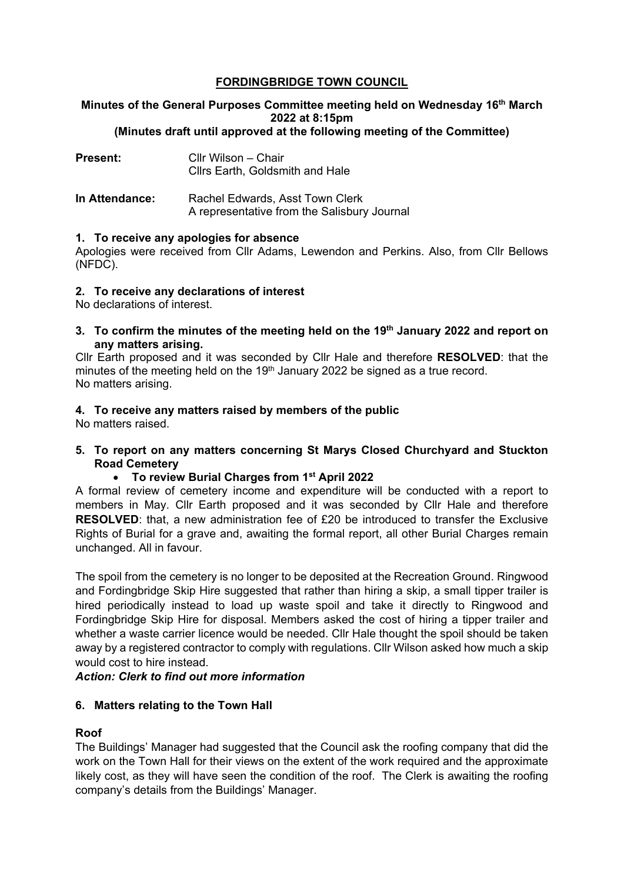# **FORDINGBRIDGE TOWN COUNCIL**

#### **Minutes of the General Purposes Committee meeting held on Wednesday 16th March 2022 at 8:15pm (Minutes draft until approved at the following meeting of the Committee)**

| <b>Present:</b> | Cllr Wilson - Chair<br>Cllrs Earth, Goldsmith and Hale                         |
|-----------------|--------------------------------------------------------------------------------|
| In Attendance:  | Rachel Edwards, Asst Town Clerk<br>A representative from the Salisbury Journal |

## **1. To receive any apologies for absence**

Apologies were received from Cllr Adams, Lewendon and Perkins. Also, from Cllr Bellows (NFDC).

## **2. To receive any declarations of interest**

No declarations of interest.

**3. To confirm the minutes of the meeting held on the 19th January 2022 and report on any matters arising.**

Cllr Earth proposed and it was seconded by Cllr Hale and therefore **RESOLVED**: that the minutes of the meeting held on the  $19<sup>th</sup>$  January 2022 be signed as a true record. No matters arising.

# **4. To receive any matters raised by members of the public**

No matters raised.

**5. To report on any matters concerning St Marys Closed Churchyard and Stuckton Road Cemetery**

## • **To review Burial Charges from 1st April 2022**

A formal review of cemetery income and expenditure will be conducted with a report to members in May. Cllr Earth proposed and it was seconded by Cllr Hale and therefore **RESOLVED:** that, a new administration fee of £20 be introduced to transfer the Exclusive Rights of Burial for a grave and, awaiting the formal report, all other Burial Charges remain unchanged. All in favour.

The spoil from the cemetery is no longer to be deposited at the Recreation Ground. Ringwood and Fordingbridge Skip Hire suggested that rather than hiring a skip, a small tipper trailer is hired periodically instead to load up waste spoil and take it directly to Ringwood and Fordingbridge Skip Hire for disposal. Members asked the cost of hiring a tipper trailer and whether a waste carrier licence would be needed. Cllr Hale thought the spoil should be taken away by a registered contractor to comply with regulations. Cllr Wilson asked how much a skip would cost to hire instead.

## *Action: Clerk to find out more information*

## **6. Matters relating to the Town Hall**

## **Roof**

The Buildings' Manager had suggested that the Council ask the roofing company that did the work on the Town Hall for their views on the extent of the work required and the approximate likely cost, as they will have seen the condition of the roof. The Clerk is awaiting the roofing company's details from the Buildings' Manager.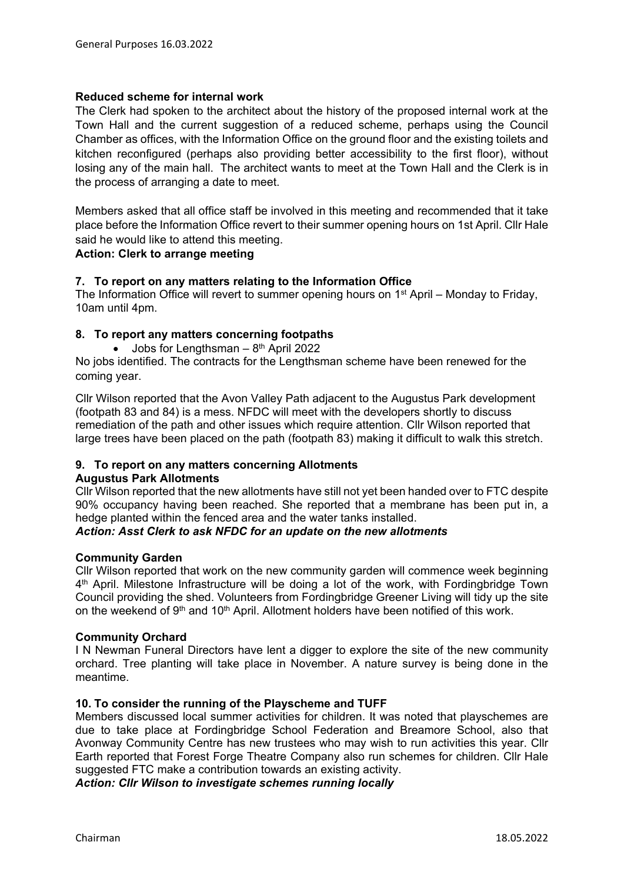## **Reduced scheme for internal work**

The Clerk had spoken to the architect about the history of the proposed internal work at the Town Hall and the current suggestion of a reduced scheme, perhaps using the Council Chamber as offices, with the Information Office on the ground floor and the existing toilets and kitchen reconfigured (perhaps also providing better accessibility to the first floor), without losing any of the main hall. The architect wants to meet at the Town Hall and the Clerk is in the process of arranging a date to meet.

Members asked that all office staff be involved in this meeting and recommended that it take place before the Information Office revert to their summer opening hours on 1st April. Cllr Hale said he would like to attend this meeting.

## **Action: Clerk to arrange meeting**

## **7. To report on any matters relating to the Information Office**

The Information Office will revert to summer opening hours on 1<sup>st</sup> April – Monday to Friday, 10am until 4pm.

## **8. To report any matters concerning footpaths**

• Jobs for Lengthsman  $-8<sup>th</sup>$  April 2022

No jobs identified. The contracts for the Lengthsman scheme have been renewed for the coming year.

Cllr Wilson reported that the Avon Valley Path adjacent to the Augustus Park development (footpath 83 and 84) is a mess. NFDC will meet with the developers shortly to discuss remediation of the path and other issues which require attention. Cllr Wilson reported that large trees have been placed on the path (footpath 83) making it difficult to walk this stretch.

## **9. To report on any matters concerning Allotments**

#### **Augustus Park Allotments**

Cllr Wilson reported that the new allotments have still not yet been handed over to FTC despite 90% occupancy having been reached. She reported that a membrane has been put in, a hedge planted within the fenced area and the water tanks installed.

### *Action: Asst Clerk to ask NFDC for an update on the new allotments*

#### **Community Garden**

Cllr Wilson reported that work on the new community garden will commence week beginning 4<sup>th</sup> April. Milestone Infrastructure will be doing a lot of the work, with Fordingbridge Town Council providing the shed. Volunteers from Fordingbridge Greener Living will tidy up the site on the weekend of 9<sup>th</sup> and 10<sup>th</sup> April. Allotment holders have been notified of this work.

#### **Community Orchard**

I N Newman Funeral Directors have lent a digger to explore the site of the new community orchard. Tree planting will take place in November. A nature survey is being done in the meantime.

#### **10. To consider the running of the Playscheme and TUFF**

Members discussed local summer activities for children. It was noted that playschemes are due to take place at Fordingbridge School Federation and Breamore School, also that Avonway Community Centre has new trustees who may wish to run activities this year. Cllr Earth reported that Forest Forge Theatre Company also run schemes for children. Cllr Hale suggested FTC make a contribution towards an existing activity.

*Action: Cllr Wilson to investigate schemes running locally*